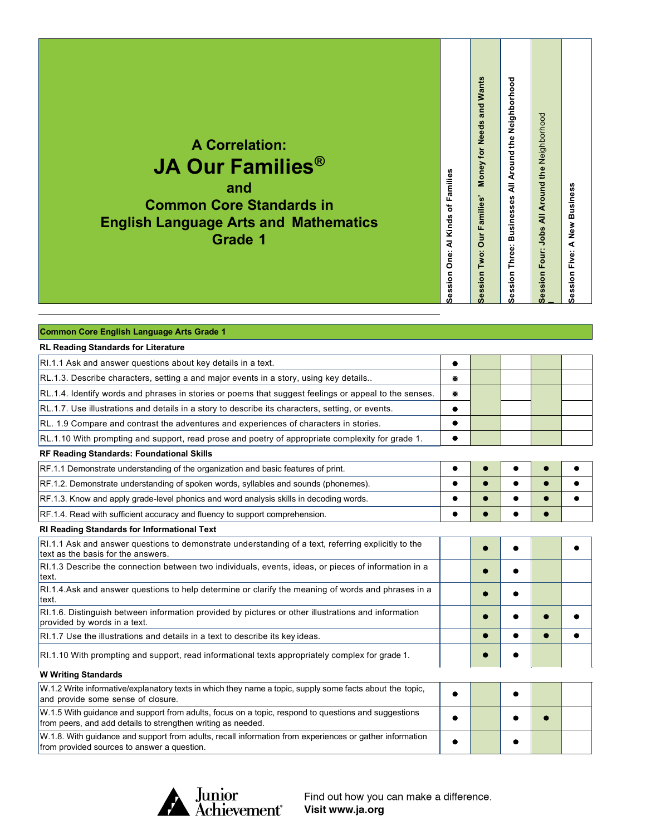## **A Correlation: JA Our Families® and**

**Common Core Standards in English Language Arts and Mathematics Grade 1**

| Session Two: Our Families' Money for Needs and Wants | Session Three: Businesses All Around the Neighborhood | Session Four: Jobs All Around the Neighborhood | Session Five: A New Business |
|------------------------------------------------------|-------------------------------------------------------|------------------------------------------------|------------------------------|

**Session One: Al Kinds of Families**

Session One: Al Kinds of Families

| Common Core English Language Arts Grade 1                                                                                                                           |           |  |   |  |  |  |
|---------------------------------------------------------------------------------------------------------------------------------------------------------------------|-----------|--|---|--|--|--|
| <b>RL Reading Standards for Literature</b>                                                                                                                          |           |  |   |  |  |  |
| RI.1.1 Ask and answer questions about key details in a text.                                                                                                        |           |  |   |  |  |  |
| RL.1.3. Describe characters, setting a and major events in a story, using key details                                                                               | ж         |  |   |  |  |  |
| RL.1.4. Identify words and phrases in stories or poems that suggest feelings or appeal to the senses.                                                               | Ð         |  |   |  |  |  |
| RL.1.7. Use illustrations and details in a story to describe its characters, setting, or events.                                                                    |           |  |   |  |  |  |
| RL. 1.9 Compare and contrast the adventures and experiences of characters in stories.                                                                               |           |  |   |  |  |  |
| RL.1.10 With prompting and support, read prose and poetry of appropriate complexity for grade 1.                                                                    |           |  |   |  |  |  |
| RF Reading Standards: Foundational Skills                                                                                                                           |           |  |   |  |  |  |
| RF.1.1 Demonstrate understanding of the organization and basic features of print.                                                                                   | $\bullet$ |  |   |  |  |  |
| RF.1.2. Demonstrate understanding of spoken words, syllables and sounds (phonemes).                                                                                 |           |  |   |  |  |  |
| RF.1.3. Know and apply grade-level phonics and word analysis skills in decoding words.                                                                              |           |  |   |  |  |  |
| RF.1.4. Read with sufficient accuracy and fluency to support comprehension.                                                                                         |           |  |   |  |  |  |
| RI Reading Standards for Informational Text                                                                                                                         |           |  |   |  |  |  |
| RI.1.1 Ask and answer questions to demonstrate understanding of a text, referring explicitly to the<br>text as the basis for the answers.                           |           |  |   |  |  |  |
| RI.1.3 Describe the connection between two individuals, events, ideas, or pieces of information in a<br>text.                                                       |           |  |   |  |  |  |
| RI.1.4. Ask and answer questions to help determine or clarify the meaning of words and phrases in a<br>text.                                                        |           |  |   |  |  |  |
| RI.1.6. Distinguish between information provided by pictures or other illustrations and information<br>provided by words in a text.                                 |           |  |   |  |  |  |
| RI.1.7 Use the illustrations and details in a text to describe its key ideas.                                                                                       |           |  | ● |  |  |  |
| RI.1.10 With prompting and support, read informational texts appropriately complex for grade 1.                                                                     |           |  |   |  |  |  |
| <b>W Writing Standards</b>                                                                                                                                          |           |  |   |  |  |  |
| W.1.2 Write informative/explanatory texts in which they name a topic, supply some facts about the topic,<br>and provide some sense of closure.                      |           |  |   |  |  |  |
| W.1.5 With guidance and support from adults, focus on a topic, respond to questions and suggestions<br>from peers, and add details to strengthen writing as needed. |           |  |   |  |  |  |
| W.1.8. With guidance and support from adults, recall information from experiences or gather information<br>from provided sources to answer a question.              |           |  |   |  |  |  |

Junior<br>Achievement<sup>®</sup>

Find out how you can make a difference. Visit www.ja.org